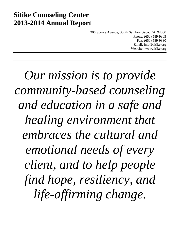# **Sitike Counseling Center 2013-2014 Annual Report**

306 Spruce Avenue, South San Francisco, CA 94080 Phone: (650) 589-9305 Fax: (650) 589-9330 Email: info@sitike.org Website: www.sitike.org

*Our mission is to provide community-based counseling and education in a safe and healing environment that embraces the cultural and emotional needs of every client, and to help people find hope, resiliency, and life-affirming change.*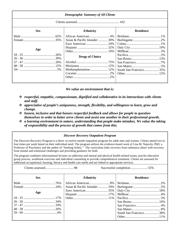| <b>Demographic Summary of All Clients</b> |                                                                                                                                                               |                        |  |
|-------------------------------------------|---------------------------------------------------------------------------------------------------------------------------------------------------------------|------------------------|--|
|                                           |                                                                                                                                                               |                        |  |
| <b>Sex</b>                                | <b>Ethnicity</b>                                                                                                                                              | <b>Residence</b>       |  |
| Age                                       | Asian & Pacific Islander  30%<br><b>Drugs of Choice</b><br>$\textbf{Method} \textbf{Method:} \begin{tabular}{c} \textbf{Method:} \textbf{12}\% \end{tabular}$ | South San Francisco35% |  |

*We value an environment that is:*

- *respectful, empathic, compassionate, dignified and collaborative in its interactions with clients and staff.*
- *appreciative of people's uniqueness, strength, flexibility, and willingness to learn, grow and change.*
- *honest, inclusive and that honors respectful feedback and allows for people to question themselves in order to better serve clients and assist one another in their professional growth.*
- *a learning environment in nature, understanding that people make mistakes. We value the taking of responsibility and the process of growth that comes from this.*

### *Discover Recovery Outpatient Program*

The Discover Recovery Program is a three- to twelve-month outpatient program for adult men and women. Clients attend two to four times per week based on their individual need. The program utilizes the evidence-based work of Lisa M. Najavits, PhD, a Professor of Psychiatry and the author of "Seeking Safety." The curriculum links recovery from substance abuse with recovery from mental and emotional challenges and providing guidance for both.

The program combines informational lectures on addiction and mental and physical health-related issues, psycho education group process, workbook exercises and individual counseling to provide comprehensive treatment. Clients are assessed for additional occupational, housing, literacy and health care needs and are linked to appropriate services.

Clients assessed...................................98 Successful completion.....................55%

| <b>Sex</b> | <b>Ethnicity</b>              | <b>Residence</b>       |
|------------|-------------------------------|------------------------|
|            |                               |                        |
|            | Asian & Pacific Islander  29% |                        |
|            |                               |                        |
| Age        |                               |                        |
|            |                               |                        |
|            |                               |                        |
|            |                               |                        |
|            |                               |                        |
|            |                               | South San Francisco38% |
|            |                               |                        |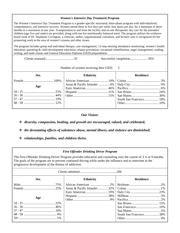## *Women's Intensive Day Treatment Program*

The Women's Intensive Day Treatment Program is a gender-specific structured, three-phase program with individualized, comprehensive, and intensive services. Women attend three to five days per week, four hours per day, for a minimum of three months to a maximum of one year. Transportation to and from the facility and on-site therapeutic day care for the attendees' children (age five and under) are provided, along with one hot nutritionally balanced meal. The program utilizes the evidencebased work of Dr. Stephanie Covington, a clinician, author, organizational consultant, and lecturer who is recognized for her pioneering work in the area of women's trauma and other issues.

The program includes group and individual therapy; case management; 12-step meeting attendance monitoring; women's health education; parenting & child development education; relapse prevention; vocational rehabilitation; anger management; reading, writing, and math classes and General Education Diploma (GED) preparedness.

Clients assessed...................................35 Successful completion.....................56%

Number of women receiving their GED: 3

| <b>Sex</b> | <b>Ethnicity</b> | <b>Residence</b>        |
|------------|------------------|-------------------------|
|            |                  |                         |
|            |                  |                         |
| Age        |                  |                         |
|            |                  |                         |
|            |                  |                         |
|            |                  | South San Francisco 18% |
|            |                  |                         |
|            |                  |                         |

# *Our Vision:*

*diversity, compassion, healing, and growth are encouraged, valued, and celebrated;*

- *the devastating effects of substance abuse, mental illness, and violence are diminished;*
- *relationships, families, and children thrive.*

# *First Offender Drinking Driver Program*

The First Offender Drinking Driver Program provides education and counseling over the course of 3, 6 or 9 months. The goals of the program are to prevent continued driving while under the influence and to intervene in the progressive development of the disease of addiction.

| <b>Sex</b> | <b>Ethnicity</b>              | <b>Residence</b>       |
|------------|-------------------------------|------------------------|
|            |                               |                        |
|            | Asian & Pacific Islander  32% |                        |
|            |                               |                        |
|            |                               |                        |
| Age        |                               |                        |
|            |                               |                        |
|            |                               |                        |
|            |                               |                        |
|            |                               | South San Francisco38% |
|            |                               |                        |
|            |                               |                        |